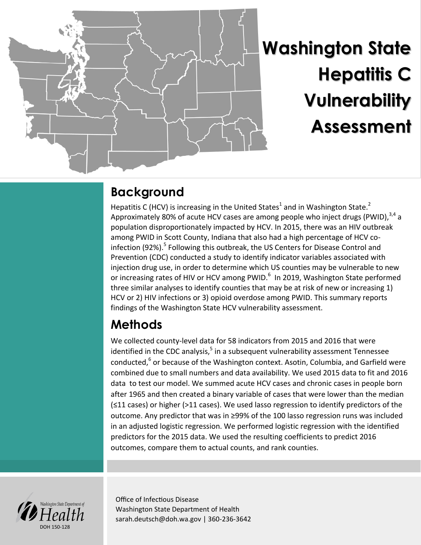

# **Washington State Hepatitis C Vulnerability Assessment**

## **Background**

Hepatitis C (HCV) is increasing in the United States<sup>1</sup> and in Washington State.<sup>2</sup> Approximately 80% of acute HCV cases are among people who inject drugs (PWID),  $3,4$  a population disproportionately impacted by HCV. In 2015, there was an HIV outbreak among PWID in Scott County, Indiana that also had a high percentage of HCV coinfection (92%).<sup>5</sup> Following this outbreak, the US Centers for Disease Control and Prevention (CDC) conducted a study to identify indicator variables associated with injection drug use, in order to determine which US counties may be vulnerable to new or increasing rates of HIV or HCV among PWID.<sup>6</sup> In 2019, Washington State performed three similar analyses to identify counties that may be at risk of new or increasing 1) HCV or 2) HIV infections or 3) opioid overdose among PWID. This summary reports findings of the Washington State HCV vulnerability assessment.

# **Methods**

We collected county-level data for 58 indicators from 2015 and 2016 that were identified in the CDC analysis,<sup>5</sup> in a subsequent vulnerability assessment Tennessee conducted,<sup>6</sup> or because of the Washington context. Asotin, Columbia, and Garfield were combined due to small numbers and data availability. We used 2015 data to fit and 2016 data to test our model. We summed acute HCV cases and chronic cases in people born after 1965 and then created a binary variable of cases that were lower than the median (≤11 cases) or higher (>11 cases). We used lasso regression to identify predictors of the outcome. Any predictor that was in ≥99% of the 100 lasso regression runs was included in an adjusted logistic regression. We performed logistic regression with the identified predictors for the 2015 data. We used the resulting coefficients to predict 2016 outcomes, compare them to actual counts, and rank counties.



Office of Infectious Disease Washington State Department of Health sarah.deutsch@doh.wa.gov | 360-236-3642